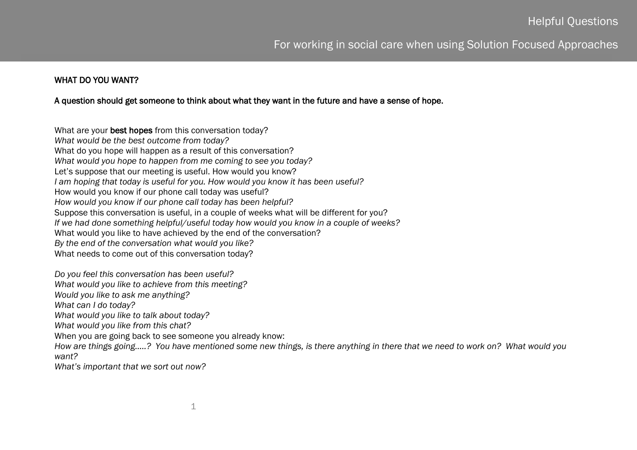# For working in social care when using Solution Focused Approaches

#### WHAT DO YOU WANT?

#### A question should get someone to think about what they want in the future and have a sense of hope.

What are your best hopes from this conversation today? *What would be the best outcome from today?* What do you hope will happen as a result of this conversation? *What would you hope to happen from me coming to see you today?* Let's suppose that our meeting is useful. How would you know? *I am hoping that today is useful for you. How would you know it has been useful?* How would you know if our phone call today was useful? *How would you know if our phone call today has been helpful?* Suppose this conversation is useful, in a couple of weeks what will be different for you? *If we had done something helpful/useful today how would you know in a couple of weeks?* What would you like to have achieved by the end of the conversation? *By the end of the conversation what would you like?* What needs to come out of this conversation today?

*Do you feel this conversation has been useful?*

*What would you like to achieve from this meeting?*

*Would you like to ask me anything?*

*What can I do today?*

*What would you like to talk about today?*

*What would you like from this chat?*

When you are going back to see someone you already know:

*How are things going…..? You have mentioned some new things, is there anything in there that we need to work on? What would you want?*

l

*What's important that we sort out now?*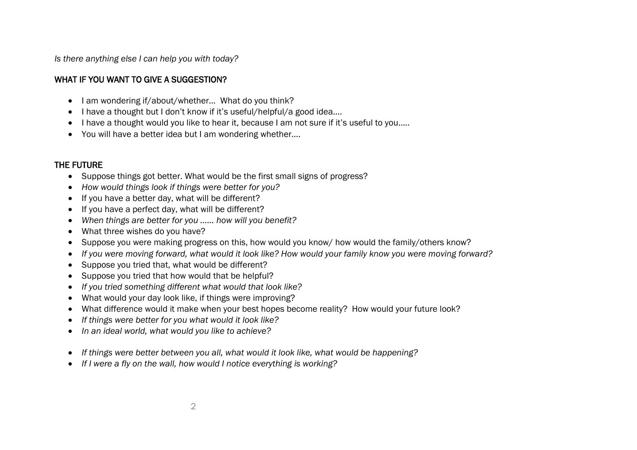*Is there anything else I can help you with today?*

### WHAT IF YOU WANT TO GIVE A SUGGESTION?

- I am wondering if/about/whether... What do you think?
- I have a thought but I don't know if it's useful/helpful/a good idea...
- I have a thought would you like to hear it, because I am not sure if it's useful to you.....
- You will have a better idea but I am wondering whether….

## THE FUTURE

- Suppose things got better. What would be the first small signs of progress?
- *How would things look if things were better for you?*
- If you have a better day, what will be different?
- If you have a perfect day, what will be different?
- *When things are better for you …… how will you benefit?*
- What three wishes do you have?
- Suppose you were making progress on this, how would you know/ how would the family/others know?
- *If you were moving forward, what would it look like? How would your family know you were moving forward?*
- Suppose you tried that, what would be different?
- Suppose you tried that how would that be helpful?
- *If you tried something different what would that look like?*
- What would your day look like, if things were improving?
- What difference would it make when your best hopes become reality? How would your future look?
- *If things were better for you what would it look like?*
- *In an ideal world, what would you like to achieve?*
- *If things were better between you all, what would it look like, what would be happening?*
- *If I were a fly on the wall, how would I notice everything is working?*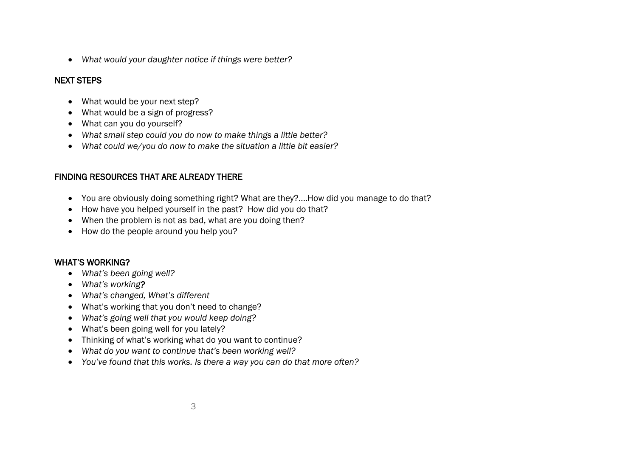*What would your daughter notice if things were better?*

### NEXT STEPS

- What would be your next step?
- What would be a sign of progress?
- What can you do yourself?
- *What small step could you do now to make things a little better?*
- *What could we/you do now to make the situation a little bit easier?*

### FINDING RESOURCES THAT ARE ALREADY THERE

- You are obviously doing something right? What are they?....How did you manage to do that?
- How have you helped yourself in the past? How did you do that?
- When the problem is not as bad, what are you doing then?
- How do the people around you help you?

### WHAT'S WORKING?

- *What's been going well?*
- *What's working?*
- *What's changed, What's different*
- What's working that you don't need to change?
- *What's going well that you would keep doing?*
- What's been going well for you lately?
- Thinking of what's working what do you want to continue?
- *What do you want to continue that's been working well?*
- *You've found that this works. Is there a way you can do that more often?*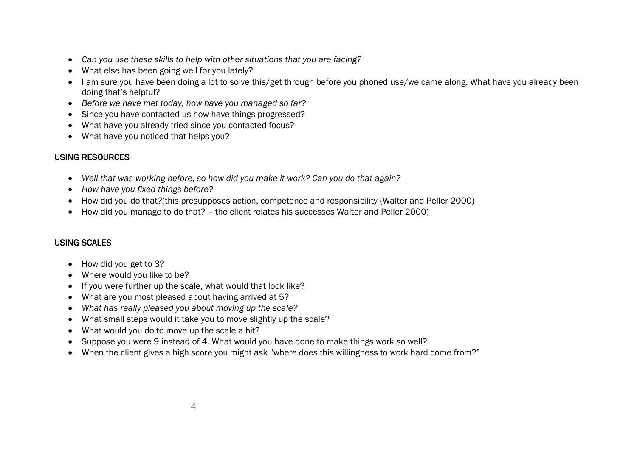- *Can you use these skills to help with other situations that you are facing?*
- What else has been going well for you lately?
- I am sure you have been doing a lot to solve this/get through before you phoned use/we came along. What have you already been doing that's helpful?
- *Before we have met today, how have you managed so far?*
- Since you have contacted us how have things progressed?
- What have you already tried since you contacted focus?
- What have you noticed that helps you?

## USING RESOURCES

- *Well that was working before, so how did you make it work? Can you do that again?*
- *How have you fixed things before?*
- How did you do that?(this presupposes action, competence and responsibility (Walter and Peller 2000)
- How did you manage to do that? the client relates his successes Walter and Peller 2000)

### USING SCALES

- How did you get to 3?
- Where would you like to be?
- If you were further up the scale, what would that look like?
- What are you most pleased about having arrived at 5?
- *What has really pleased you about moving up the scale?*
- What small steps would it take you to move slightly up the scale?
- What would you do to move up the scale a bit?
- Suppose you were 9 instead of 4. What would you have done to make things work so well?
- When the client gives a high score you might ask "where does this willingness to work hard come from?"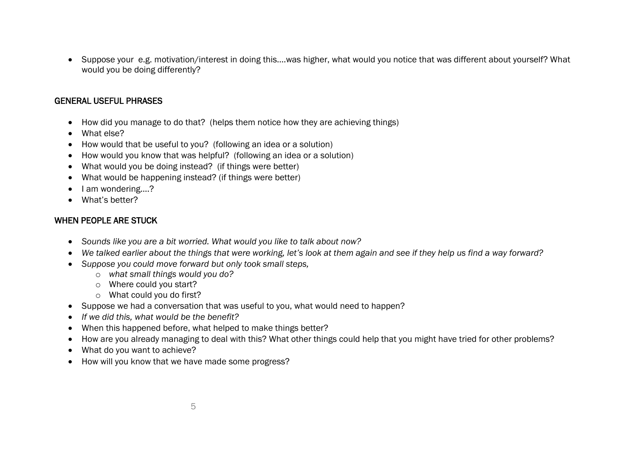Suppose your e.g. motivation/interest in doing this….was higher, what would you notice that was different about yourself? What would you be doing differently?

#### GENERAL USEFUL PHRASES

- How did you manage to do that? (helps them notice how they are achieving things)
- What else?
- How would that be useful to you? (following an idea or a solution)
- How would you know that was helpful? (following an idea or a solution)
- What would you be doing instead? (if things were better)
- What would be happening instead? (if things were better)
- I am wondering....?
- What's better?

### WHEN PEOPLE ARE STUCK

- *Sounds like you are a bit worried. What would you like to talk about now?*
- *We talked earlier about the things that were working, let's look at them again and see if they help us find a way forward?*
- *Suppose you could move forward but only took small steps,*
	- o *what small things would you do?*
	- o Where could you start?
	- o What could you do first?
- Suppose we had a conversation that was useful to you, what would need to happen?
- *If we did this, what would be the benefit?*
- When this happened before, what helped to make things better?
- How are you already managing to deal with this? What other things could help that you might have tried for other problems?
- What do you want to achieve?
- How will you know that we have made some progress?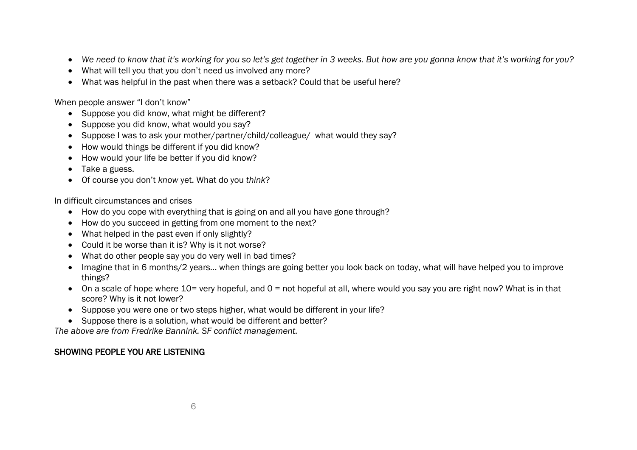- We need to know that it's working for you so let's get together in 3 weeks. But how are you gonna know that it's working for you?
- What will tell you that you don't need us involved any more?
- What was helpful in the past when there was a setback? Could that be useful here?

When people answer "I don't know"

- Suppose you did know, what might be different?
- Suppose you did know, what would you say?
- Suppose I was to ask your mother/partner/child/colleague/ what would they say?
- How would things be different if you did know?
- How would your life be better if you did know?
- Take a guess.
- Of course you don't *know* yet. What do you *think*?

In difficult circumstances and crises

- How do you cope with everything that is going on and all you have gone through?
- How do you succeed in getting from one moment to the next?
- What helped in the past even if only slightly?
- Could it be worse than it is? Why is it not worse?
- What do other people say you do very well in bad times?
- Imagine that in 6 months/2 years... when things are going better you look back on today, what will have helped you to improve things?
- On a scale of hope where 10= very hopeful, and 0 = not hopeful at all, where would you say you are right now? What is in that score? Why is it not lower?
- Suppose you were one or two steps higher, what would be different in your life?
- Suppose there is a solution, what would be different and better?

*The above are from Fredrike Bannink. SF conflict management.*

## SHOWING PEOPLE YOU ARE LISTENING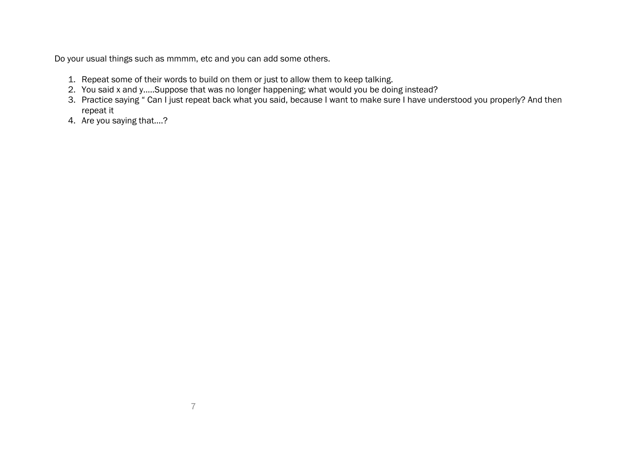Do your usual things such as mmmm, etc and you can add some others.

- 1. Repeat some of their words to build on them or just to allow them to keep talking.
- 2. You said x and y…..Suppose that was no longer happening; what would you be doing instead?
- 3. Practice saying " Can I just repeat back what you said, because I want to make sure I have understood you properly? And then repeat it
- 4. Are you saying that….?